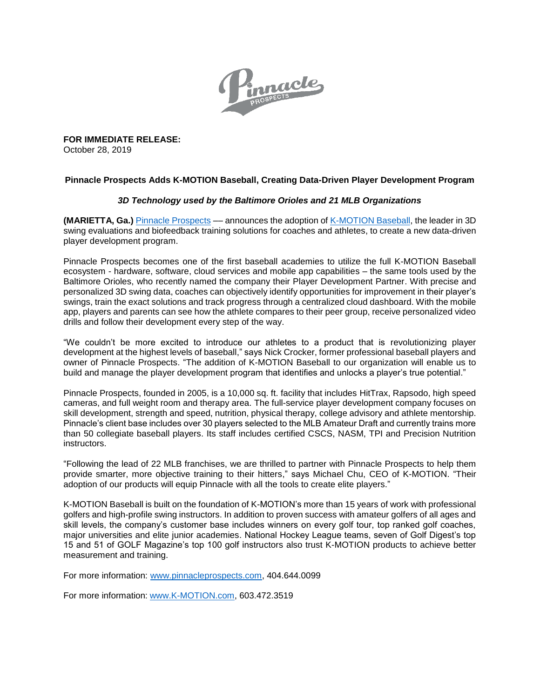

**FOR IMMEDIATE RELEASE:** October 28, 2019

## **Pinnacle Prospects Adds K-MOTION Baseball, Creating Data-Driven Player Development Program**

## *3D Technology used by the Baltimore Orioles and 21 MLB Organizations*

**(MARIETTA, Ga.)** [Pinnacle Prospects](http://www.pinnacleprospects.com/) –– announces the adoption of [K-MOTION](https://www.k-motion.com/) Baseball, the leader in 3D swing evaluations and biofeedback training solutions for coaches and athletes, to create a new data-driven player development program.

Pinnacle Prospects becomes one of the first baseball academies to utilize the full K-MOTION Baseball ecosystem - hardware, software, cloud services and mobile app capabilities – the same tools used by the Baltimore Orioles, who recently named the company their Player Development Partner. With precise and personalized 3D swing data, coaches can objectively identify opportunities for improvement in their player's swings, train the exact solutions and track progress through a centralized cloud dashboard. With the mobile app, players and parents can see how the athlete compares to their peer group, receive personalized video drills and follow their development every step of the way.

"We couldn't be more excited to introduce our athletes to a product that is revolutionizing player development at the highest levels of baseball," says Nick Crocker, former professional baseball players and owner of Pinnacle Prospects. "The addition of K-MOTION Baseball to our organization will enable us to build and manage the player development program that identifies and unlocks a player's true potential."

Pinnacle Prospects, founded in 2005, is a 10,000 sq. ft. facility that includes HitTrax, Rapsodo, high speed cameras, and full weight room and therapy area. The full-service player development company focuses on skill development, strength and speed, nutrition, physical therapy, college advisory and athlete mentorship. Pinnacle's client base includes over 30 players selected to the MLB Amateur Draft and currently trains more than 50 collegiate baseball players. Its staff includes certified CSCS, NASM, TPI and Precision Nutrition instructors.

"Following the lead of 22 MLB franchises, we are thrilled to partner with Pinnacle Prospects to help them provide smarter, more objective training to their hitters," says Michael Chu, CEO of K-MOTION. "Their adoption of our products will equip Pinnacle with all the tools to create elite players."

K-MOTION Baseball is built on the foundation of K-MOTION's more than 15 years of work with professional golfers and high-profile swing instructors. In addition to proven success with amateur golfers of all ages and skill levels, the company's customer base includes winners on every golf tour, top ranked golf coaches, major universities and elite junior academies. National Hockey League teams, seven of Golf Digest's top 15 and 51 of GOLF Magazine's top 100 golf instructors also trust K-MOTION products to achieve better measurement and training.

For more information: [www.pinnacleprospects.com,](http://www.pinnacleprospects.com/) 404.644.0099

For more information: [www.K-MOTION.com,](http://www.k-motion.com/) 603.472.3519